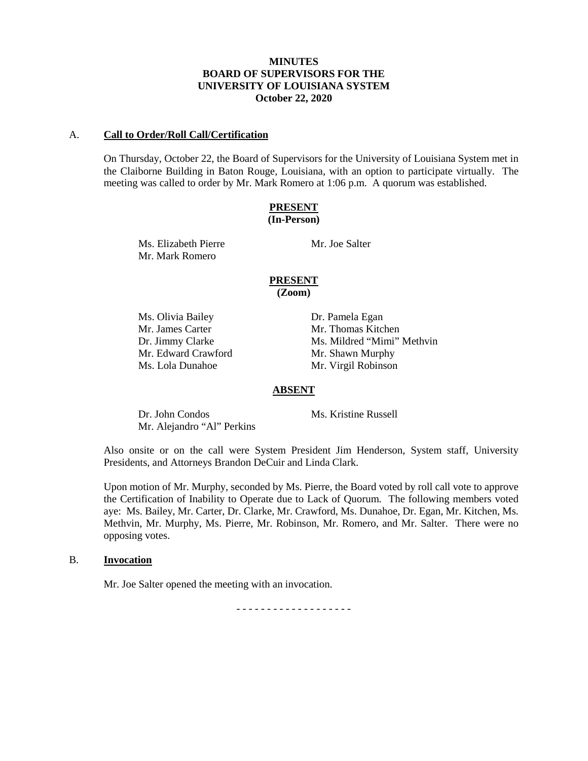### **MINUTES BOARD OF SUPERVISORS FOR THE UNIVERSITY OF LOUISIANA SYSTEM October 22, 2020**

#### A. **Call to Order/Roll Call/Certification**

On Thursday, October 22, the Board of Supervisors for the University of Louisiana System met in the Claiborne Building in Baton Rouge, Louisiana, with an option to participate virtually. The meeting was called to order by Mr. Mark Romero at 1:06 p.m. A quorum was established.

## **PRESENT (In-Person)**

Ms. Elizabeth Pierre Mr. Joe Salter Mr. Mark Romero

## **PRESENT**

**(Zoom)**

Ms. Olivia Bailey Dr. Pamela Egan Mr. James Carter Mr. Thomas Kitchen Mr. Edward Crawford Mr. Shawn Murphy Ms. Lola Dunahoe Mr. Virgil Robinson

Dr. Jimmy Clarke Ms. Mildred "Mimi" Methvin

### **ABSENT**

Dr. John Condos Ms. Kristine Russell Mr. Alejandro "Al" Perkins

Also onsite or on the call were System President Jim Henderson, System staff, University Presidents, and Attorneys Brandon DeCuir and Linda Clark.

Upon motion of Mr. Murphy, seconded by Ms. Pierre, the Board voted by roll call vote to approve the Certification of Inability to Operate due to Lack of Quorum. The following members voted aye: Ms. Bailey, Mr. Carter, Dr. Clarke, Mr. Crawford, Ms. Dunahoe, Dr. Egan, Mr. Kitchen, Ms. Methvin, Mr. Murphy, Ms. Pierre, Mr. Robinson, Mr. Romero, and Mr. Salter. There were no opposing votes.

## B. **Invocation**

Mr. Joe Salter opened the meeting with an invocation.

- - - - - - - - - - - - - - - - - - -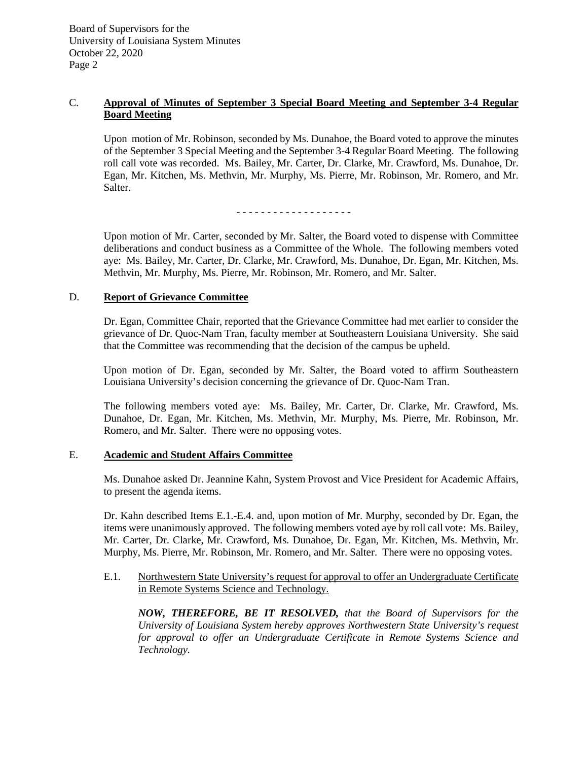## C. **Approval of Minutes of September 3 Special Board Meeting and September 3-4 Regular Board Meeting**

Upon motion of Mr. Robinson, seconded by Ms. Dunahoe, the Board voted to approve the minutes of the September 3 Special Meeting and the September 3-4 Regular Board Meeting. The following roll call vote was recorded. Ms. Bailey, Mr. Carter, Dr. Clarke, Mr. Crawford, Ms. Dunahoe, Dr. Egan, Mr. Kitchen, Ms. Methvin, Mr. Murphy, Ms. Pierre, Mr. Robinson, Mr. Romero, and Mr. Salter.

- - - - - - - - - - - - - - - - - - -

Upon motion of Mr. Carter, seconded by Mr. Salter, the Board voted to dispense with Committee deliberations and conduct business as a Committee of the Whole. The following members voted aye: Ms. Bailey, Mr. Carter, Dr. Clarke, Mr. Crawford, Ms. Dunahoe, Dr. Egan, Mr. Kitchen, Ms. Methvin, Mr. Murphy, Ms. Pierre, Mr. Robinson, Mr. Romero, and Mr. Salter.

### D. **Report of Grievance Committee**

Dr. Egan, Committee Chair, reported that the Grievance Committee had met earlier to consider the grievance of Dr. Quoc-Nam Tran, faculty member at Southeastern Louisiana University. She said that the Committee was recommending that the decision of the campus be upheld.

Upon motion of Dr. Egan, seconded by Mr. Salter, the Board voted to affirm Southeastern Louisiana University's decision concerning the grievance of Dr. Quoc-Nam Tran.

The following members voted aye: Ms. Bailey, Mr. Carter, Dr. Clarke, Mr. Crawford, Ms. Dunahoe, Dr. Egan, Mr. Kitchen, Ms. Methvin, Mr. Murphy, Ms. Pierre, Mr. Robinson, Mr. Romero, and Mr. Salter. There were no opposing votes.

### E. **Academic and Student Affairs Committee**

Ms. Dunahoe asked Dr. Jeannine Kahn, System Provost and Vice President for Academic Affairs, to present the agenda items.

Dr. Kahn described Items E.1.-E.4. and, upon motion of Mr. Murphy, seconded by Dr. Egan, the items were unanimously approved. The following members voted aye by roll call vote: Ms. Bailey, Mr. Carter, Dr. Clarke, Mr. Crawford, Ms. Dunahoe, Dr. Egan, Mr. Kitchen, Ms. Methvin, Mr. Murphy, Ms. Pierre, Mr. Robinson, Mr. Romero, and Mr. Salter. There were no opposing votes.

E.1. Northwestern State University's request for approval to offer an Undergraduate Certificate in Remote Systems Science and Technology.

*NOW, THEREFORE, BE IT RESOLVED, that the Board of Supervisors for the University of Louisiana System hereby approves Northwestern State University's request for approval to offer an Undergraduate Certificate in Remote Systems Science and Technology.*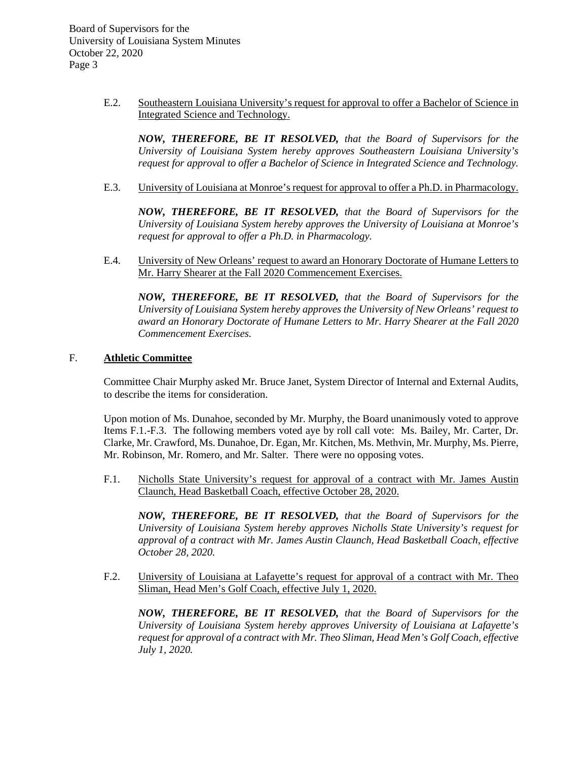> E.2. Southeastern Louisiana University's request for approval to offer a Bachelor of Science in Integrated Science and Technology.

*NOW, THEREFORE, BE IT RESOLVED, that the Board of Supervisors for the University of Louisiana System hereby approves Southeastern Louisiana University's request for approval to offer a Bachelor of Science in Integrated Science and Technology.* 

E.3. University of Louisiana at Monroe's request for approval to offer a Ph.D. in Pharmacology.

*NOW, THEREFORE, BE IT RESOLVED, that the Board of Supervisors for the University of Louisiana System hereby approves the University of Louisiana at Monroe's request for approval to offer a Ph.D. in Pharmacology.*

E.4. University of New Orleans' request to award an Honorary Doctorate of Humane Letters to Mr. Harry Shearer at the Fall 2020 Commencement Exercises.

*NOW, THEREFORE, BE IT RESOLVED, that the Board of Supervisors for the University of Louisiana System hereby approves the University of New Orleans' request to award an Honorary Doctorate of Humane Letters to Mr. Harry Shearer at the Fall 2020 Commencement Exercises.*

### F. **Athletic Committee**

Committee Chair Murphy asked Mr. Bruce Janet, System Director of Internal and External Audits, to describe the items for consideration.

Upon motion of Ms. Dunahoe, seconded by Mr. Murphy, the Board unanimously voted to approve Items F.1.-F.3. The following members voted aye by roll call vote: Ms. Bailey, Mr. Carter, Dr. Clarke, Mr. Crawford, Ms. Dunahoe, Dr. Egan, Mr. Kitchen, Ms. Methvin, Mr. Murphy, Ms. Pierre, Mr. Robinson, Mr. Romero, and Mr. Salter. There were no opposing votes.

F.1. Nicholls State University's request for approval of a contract with Mr. James Austin Claunch, Head Basketball Coach, effective October 28, 2020.

*NOW, THEREFORE, BE IT RESOLVED, that the Board of Supervisors for the University of Louisiana System hereby approves Nicholls State University's request for approval of a contract with Mr. James Austin Claunch, Head Basketball Coach, effective October 28, 2020.*

F.2. University of Louisiana at Lafayette's request for approval of a contract with Mr. Theo Sliman, Head Men's Golf Coach, effective July 1, 2020.

*NOW, THEREFORE, BE IT RESOLVED, that the Board of Supervisors for the University of Louisiana System hereby approves University of Louisiana at Lafayette's request for approval of a contract with Mr. Theo Sliman, Head Men's Golf Coach, effective July 1, 2020.*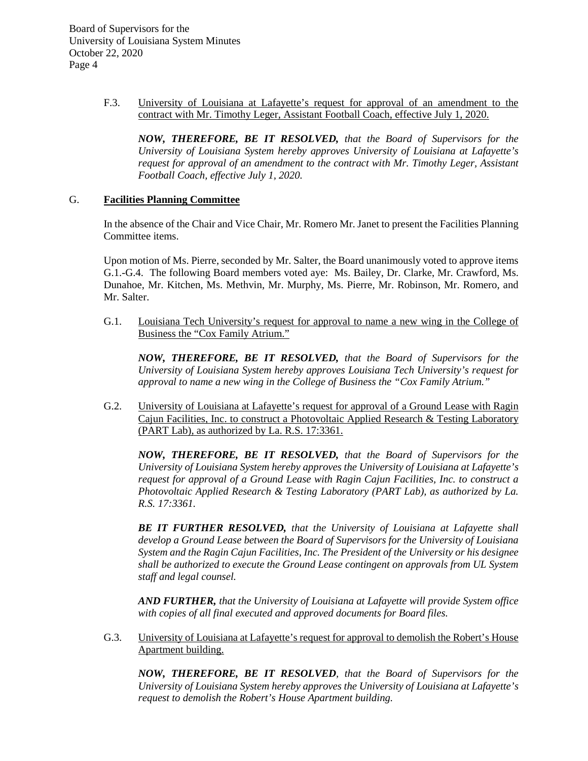> F.3. University of Louisiana at Lafayette's request for approval of an amendment to the contract with Mr. Timothy Leger, Assistant Football Coach, effective July 1, 2020.

*NOW, THEREFORE, BE IT RESOLVED, that the Board of Supervisors for the University of Louisiana System hereby approves University of Louisiana at Lafayette's request for approval of an amendment to the contract with Mr. Timothy Leger, Assistant Football Coach, effective July 1, 2020.*

### G. **Facilities Planning Committee**

In the absence of the Chair and Vice Chair, Mr. Romero Mr. Janet to present the Facilities Planning Committee items.

Upon motion of Ms. Pierre, seconded by Mr. Salter, the Board unanimously voted to approve items G.1.-G.4. The following Board members voted aye: Ms. Bailey, Dr. Clarke, Mr. Crawford, Ms. Dunahoe, Mr. Kitchen, Ms. Methvin, Mr. Murphy, Ms. Pierre, Mr. Robinson, Mr. Romero, and Mr. Salter.

G.1. Louisiana Tech University's request for approval to name a new wing in the College of Business the "Cox Family Atrium."

*NOW, THEREFORE, BE IT RESOLVED, that the Board of Supervisors for the University of Louisiana System hereby approves Louisiana Tech University's request for approval to name a new wing in the College of Business the "Cox Family Atrium."*

G.2. University of Louisiana at Lafayette's request for approval of a Ground Lease with Ragin Cajun Facilities, Inc. to construct a Photovoltaic Applied Research & Testing Laboratory (PART Lab), as authorized by La. R.S. 17:3361.

*NOW, THEREFORE, BE IT RESOLVED, that the Board of Supervisors for the University of Louisiana System hereby approves the University of Louisiana at Lafayette's request for approval of a Ground Lease with Ragin Cajun Facilities, Inc. to construct a Photovoltaic Applied Research & Testing Laboratory (PART Lab), as authorized by La. R.S. 17:3361.*

*BE IT FURTHER RESOLVED, that the University of Louisiana at Lafayette shall develop a Ground Lease between the Board of Supervisors for the University of Louisiana System and the Ragin Cajun Facilities, Inc. The President of the University or his designee shall be authorized to execute the Ground Lease contingent on approvals from UL System staff and legal counsel.*

*AND FURTHER, that the University of Louisiana at Lafayette will provide System office with copies of all final executed and approved documents for Board files.*

G.3. University of Louisiana at Lafayette's request for approval to demolish the Robert's House Apartment building.

*NOW, THEREFORE, BE IT RESOLVED, that the Board of Supervisors for the University of Louisiana System hereby approves the University of Louisiana at Lafayette's request to demolish the Robert's House Apartment building.*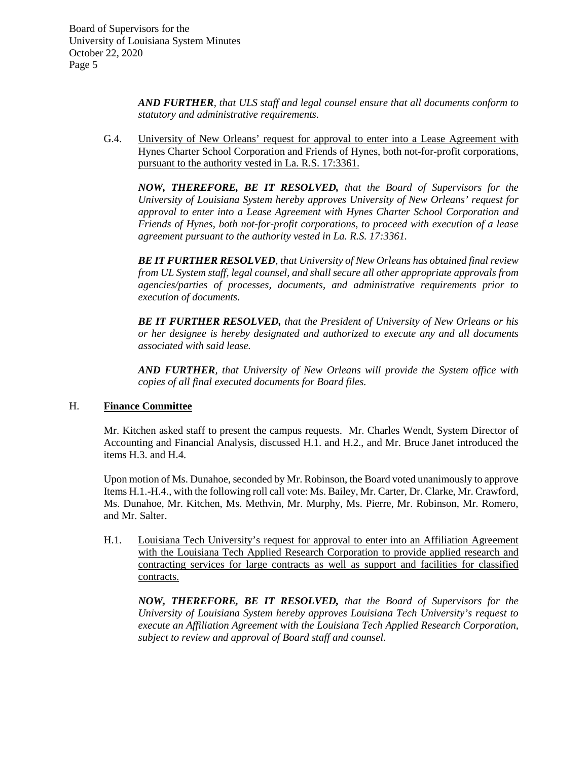> *AND FURTHER, that ULS staff and legal counsel ensure that all documents conform to statutory and administrative requirements.*

G.4. University of New Orleans' request for approval to enter into a Lease Agreement with Hynes Charter School Corporation and Friends of Hynes, both not-for-profit corporations, pursuant to the authority vested in La. R.S. 17:3361.

*NOW, THEREFORE, BE IT RESOLVED, that the Board of Supervisors for the University of Louisiana System hereby approves University of New Orleans' request for approval to enter into a Lease Agreement with Hynes Charter School Corporation and Friends of Hynes, both not-for-profit corporations, to proceed with execution of a lease agreement pursuant to the authority vested in La. R.S. 17:3361.* 

*BE IT FURTHER RESOLVED, that University of New Orleans has obtained final review from UL System staff, legal counsel, and shall secure all other appropriate approvals from agencies/parties of processes, documents, and administrative requirements prior to execution of documents.* 

*BE IT FURTHER RESOLVED, that the President of University of New Orleans or his or her designee is hereby designated and authorized to execute any and all documents associated with said lease.*

*AND FURTHER, that University of New Orleans will provide the System office with copies of all final executed documents for Board files.*

### H. **Finance Committee**

Mr. Kitchen asked staff to present the campus requests. Mr. Charles Wendt, System Director of Accounting and Financial Analysis, discussed H.1. and H.2., and Mr. Bruce Janet introduced the items H.3. and H.4.

Upon motion of Ms. Dunahoe, seconded by Mr. Robinson, the Board voted unanimously to approve Items H.1.-H.4., with the following roll call vote: Ms. Bailey, Mr. Carter, Dr. Clarke, Mr. Crawford, Ms. Dunahoe, Mr. Kitchen, Ms. Methvin, Mr. Murphy, Ms. Pierre, Mr. Robinson, Mr. Romero, and Mr. Salter.

H.1. Louisiana Tech University's request for approval to enter into an Affiliation Agreement with the Louisiana Tech Applied Research Corporation to provide applied research and contracting services for large contracts as well as support and facilities for classified contracts.

*NOW, THEREFORE, BE IT RESOLVED, that the Board of Supervisors for the University of Louisiana System hereby approves Louisiana Tech University's request to execute an Affiliation Agreement with the Louisiana Tech Applied Research Corporation, subject to review and approval of Board staff and counsel.*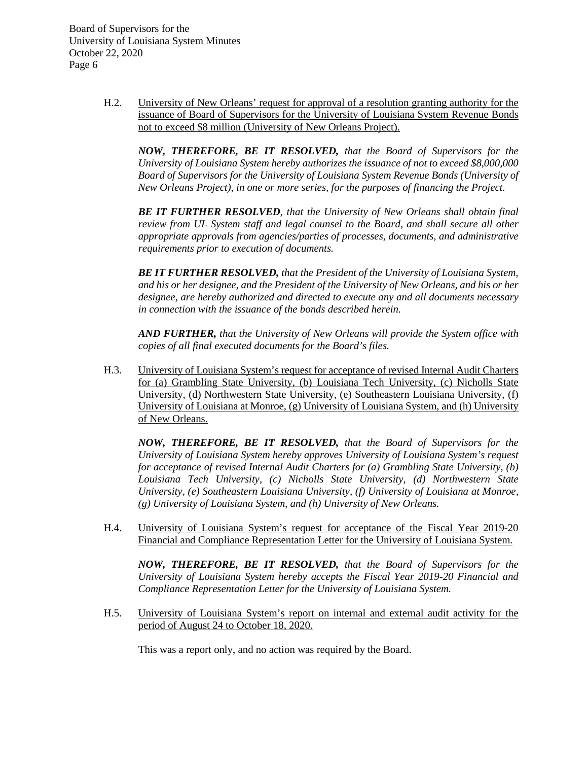> H.2. University of New Orleans' request for approval of a resolution granting authority for the issuance of Board of Supervisors for the University of Louisiana System Revenue Bonds not to exceed \$8 million (University of New Orleans Project).

*NOW, THEREFORE, BE IT RESOLVED, that the Board of Supervisors for the University of Louisiana System hereby authorizes the issuance of not to exceed \$8,000,000 Board of Supervisors for the University of Louisiana System Revenue Bonds (University of New Orleans Project), in one or more series, for the purposes of financing the Project.*

*BE IT FURTHER RESOLVED, that the University of New Orleans shall obtain final review from UL System staff and legal counsel to the Board, and shall secure all other appropriate approvals from agencies/parties of processes, documents, and administrative requirements prior to execution of documents.* 

*BE IT FURTHER RESOLVED, that the President of the University of Louisiana System, and his or her designee, and the President of the University of New Orleans, and his or her designee, are hereby authorized and directed to execute any and all documents necessary in connection with the issuance of the bonds described herein.*

*AND FURTHER, that the University of New Orleans will provide the System office with copies of all final executed documents for the Board's files.*

H.3. University of Louisiana System's request for acceptance of revised Internal Audit Charters for (a) Grambling State University, (b) Louisiana Tech University, (c) Nicholls State University, (d) Northwestern State University, (e) Southeastern Louisiana University, (f) University of Louisiana at Monroe, (g) University of Louisiana System, and (h) University of New Orleans.

*NOW, THEREFORE, BE IT RESOLVED, that the Board of Supervisors for the University of Louisiana System hereby approves University of Louisiana System's request for acceptance of revised Internal Audit Charters for (a) Grambling State University, (b) Louisiana Tech University, (c) Nicholls State University, (d) Northwestern State University, (e) Southeastern Louisiana University, (f) University of Louisiana at Monroe, (g) University of Louisiana System, and (h) University of New Orleans.* 

H.4. University of Louisiana System's request for acceptance of the Fiscal Year 2019-20 Financial and Compliance Representation Letter for the University of Louisiana System.

*NOW, THEREFORE, BE IT RESOLVED, that the Board of Supervisors for the University of Louisiana System hereby accepts the Fiscal Year 2019-20 Financial and Compliance Representation Letter for the University of Louisiana System.*

H.5. University of Louisiana System's report on internal and external audit activity for the period of August 24 to October 18, 2020.

This was a report only, and no action was required by the Board.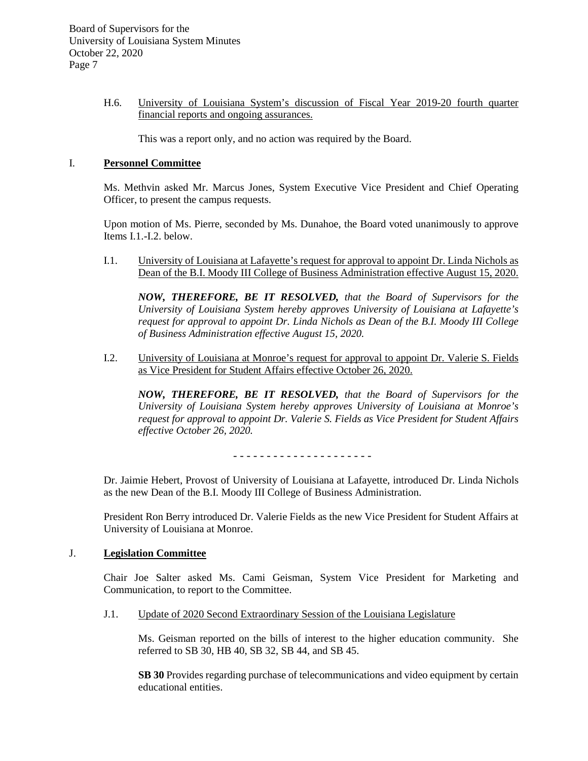### H.6. University of Louisiana System's discussion of Fiscal Year 2019-20 fourth quarter financial reports and ongoing assurances.

This was a report only, and no action was required by the Board.

## I. **Personnel Committee**

Ms. Methvin asked Mr. Marcus Jones, System Executive Vice President and Chief Operating Officer, to present the campus requests.

Upon motion of Ms. Pierre, seconded by Ms. Dunahoe, the Board voted unanimously to approve Items I.1.-I.2. below.

I.1. University of Louisiana at Lafayette's request for approval to appoint Dr. Linda Nichols as Dean of the B.I. Moody III College of Business Administration effective August 15, 2020.

*NOW, THEREFORE, BE IT RESOLVED, that the Board of Supervisors for the University of Louisiana System hereby approves University of Louisiana at Lafayette's request for approval to appoint Dr. Linda Nichols as Dean of the B.I. Moody III College of Business Administration effective August 15, 2020.*

I.2. University of Louisiana at Monroe's request for approval to appoint Dr. Valerie S. Fields as Vice President for Student Affairs effective October 26, 2020.

*NOW, THEREFORE, BE IT RESOLVED, that the Board of Supervisors for the University of Louisiana System hereby approves University of Louisiana at Monroe's request for approval to appoint Dr. Valerie S. Fields as Vice President for Student Affairs effective October 26, 2020.*

- - - - - - - - - - - - - - - - - - - - -

Dr. Jaimie Hebert, Provost of University of Louisiana at Lafayette, introduced Dr. Linda Nichols as the new Dean of the B.I. Moody III College of Business Administration.

President Ron Berry introduced Dr. Valerie Fields as the new Vice President for Student Affairs at University of Louisiana at Monroe.

#### J. **Legislation Committee**

Chair Joe Salter asked Ms. Cami Geisman, System Vice President for Marketing and Communication, to report to the Committee.

### J.1. Update of 2020 Second Extraordinary Session of the Louisiana Legislature

Ms. Geisman reported on the bills of interest to the higher education community. She referred to SB 30, HB 40, SB 32, SB 44, and SB 45.

**SB 30** Provides regarding purchase of telecommunications and video equipment by certain educational entities.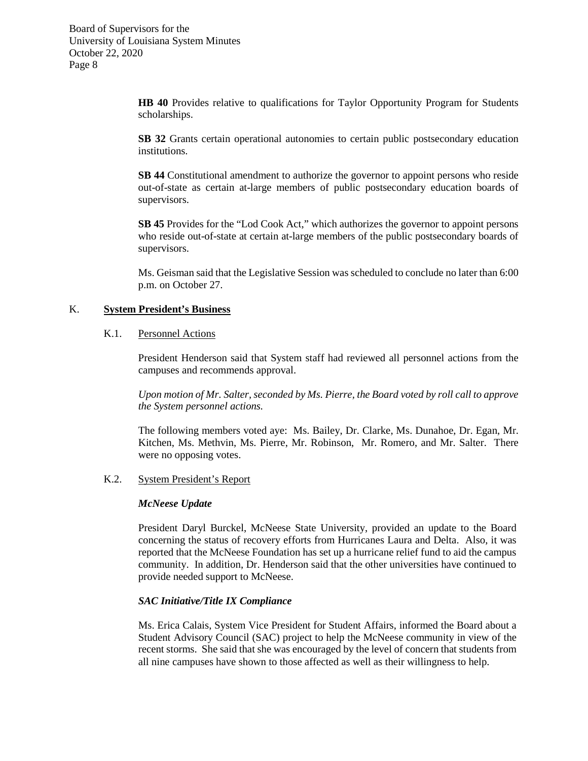> **HB 40** Provides relative to qualifications for Taylor Opportunity Program for Students scholarships.

> **SB 32** Grants certain operational autonomies to certain public postsecondary education institutions.

> **SB 44** Constitutional amendment to authorize the governor to appoint persons who reside out-of-state as certain at-large members of public postsecondary education boards of supervisors.

> **SB 45** Provides for the "Lod Cook Act," which authorizes the governor to appoint persons who reside out-of-state at certain at-large members of the public postsecondary boards of supervisors.

> Ms. Geisman said that the Legislative Session was scheduled to conclude no later than 6:00 p.m. on October 27.

## K. **System President's Business**

## K.1. Personnel Actions

President Henderson said that System staff had reviewed all personnel actions from the campuses and recommends approval.

*Upon motion of Mr. Salter, seconded by Ms. Pierre, the Board voted by roll call to approve the System personnel actions.*

The following members voted aye: Ms. Bailey, Dr. Clarke, Ms. Dunahoe, Dr. Egan, Mr. Kitchen, Ms. Methvin, Ms. Pierre, Mr. Robinson, Mr. Romero, and Mr. Salter. There were no opposing votes.

#### K.2. System President's Report

#### *McNeese Update*

President Daryl Burckel, McNeese State University, provided an update to the Board concerning the status of recovery efforts from Hurricanes Laura and Delta. Also, it was reported that the McNeese Foundation has set up a hurricane relief fund to aid the campus community. In addition, Dr. Henderson said that the other universities have continued to provide needed support to McNeese.

#### *SAC Initiative/Title IX Compliance*

Ms. Erica Calais, System Vice President for Student Affairs, informed the Board about a Student Advisory Council (SAC) project to help the McNeese community in view of the recent storms. She said that she was encouraged by the level of concern that students from all nine campuses have shown to those affected as well as their willingness to help.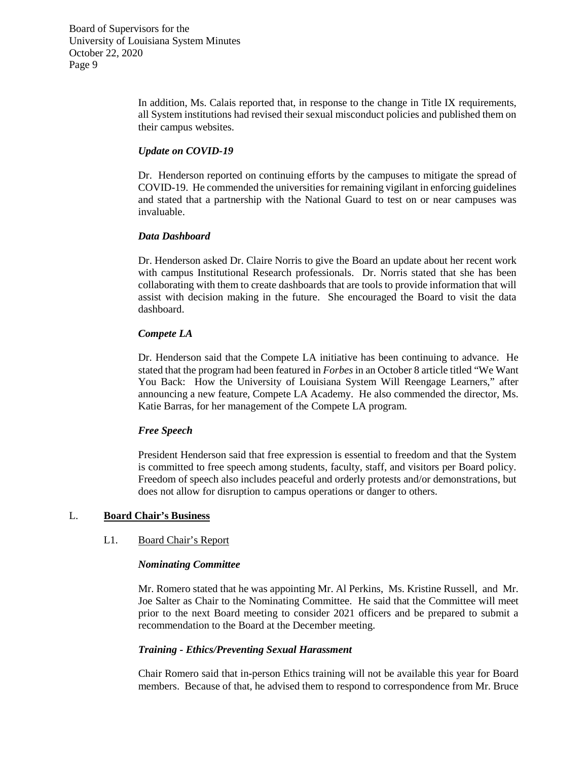> In addition, Ms. Calais reported that, in response to the change in Title IX requirements, all System institutions had revised their sexual misconduct policies and published them on their campus websites.

### *Update on COVID-19*

Dr. Henderson reported on continuing efforts by the campuses to mitigate the spread of COVID-19. He commended the universities for remaining vigilant in enforcing guidelines and stated that a partnership with the National Guard to test on or near campuses was invaluable.

## *Data Dashboard*

Dr. Henderson asked Dr. Claire Norris to give the Board an update about her recent work with campus Institutional Research professionals. Dr. Norris stated that she has been collaborating with them to create dashboards that are tools to provide information that will assist with decision making in the future. She encouraged the Board to visit the data dashboard.

## *Compete LA*

Dr. Henderson said that the Compete LA initiative has been continuing to advance. He stated that the program had been featured in *Forbes* in an October 8 article titled "We Want You Back: How the University of Louisiana System Will Reengage Learners," after announcing a new feature, Compete LA Academy. He also commended the director, Ms. Katie Barras, for her management of the Compete LA program.

### *Free Speech*

President Henderson said that free expression is essential to freedom and that the System is committed to free speech among students, faculty, staff, and visitors per Board policy. Freedom of speech also includes peaceful and orderly protests and/or demonstrations, but does not allow for disruption to campus operations or danger to others.

# L. **Board Chair's Business**

### L1. Board Chair's Report

### *Nominating Committee*

Mr. Romero stated that he was appointing Mr. Al Perkins, Ms. Kristine Russell, and Mr. Joe Salter as Chair to the Nominating Committee. He said that the Committee will meet prior to the next Board meeting to consider 2021 officers and be prepared to submit a recommendation to the Board at the December meeting.

### *Training - Ethics/Preventing Sexual Harassment*

Chair Romero said that in-person Ethics training will not be available this year for Board members. Because of that, he advised them to respond to correspondence from Mr. Bruce